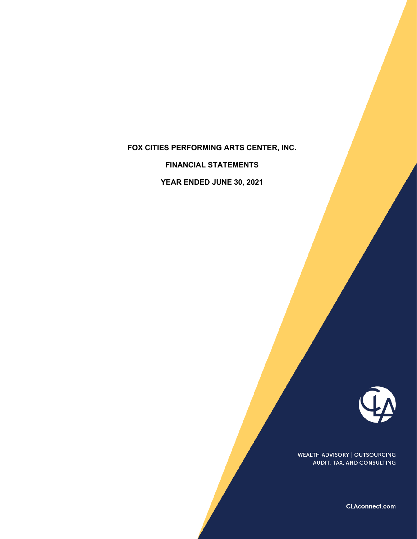# **FOX CITIES PERFORMING ARTS CENTER, INC.**

**FINANCIAL STATEMENTS**

**YEAR ENDED JUNE 30, 2021**



WEALTH ADVISORY | OUTSOURCING AUDIT, TAX, AND CONSULTING

CLAconnect.com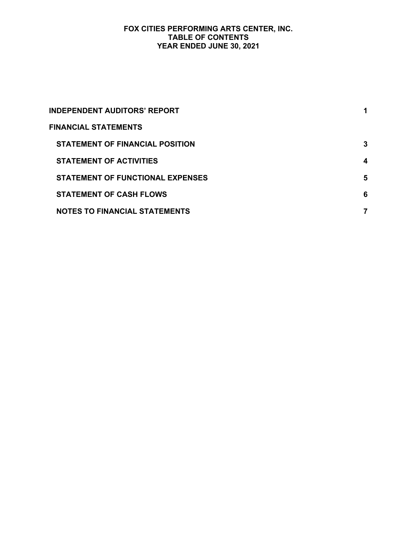## **FOX CITIES PERFORMING ARTS CENTER, INC. TABLE OF CONTENTS YEAR ENDED JUNE 30, 2021**

| <b>INDEPENDENT AUDITORS' REPORT</b>     |   |
|-----------------------------------------|---|
| <b>FINANCIAL STATEMENTS</b>             |   |
| <b>STATEMENT OF FINANCIAL POSITION</b>  | 3 |
| <b>STATEMENT OF ACTIVITIES</b>          | 4 |
| <b>STATEMENT OF FUNCTIONAL EXPENSES</b> | 5 |
| <b>STATEMENT OF CASH FLOWS</b>          | 6 |
| <b>NOTES TO FINANCIAL STATEMENTS</b>    |   |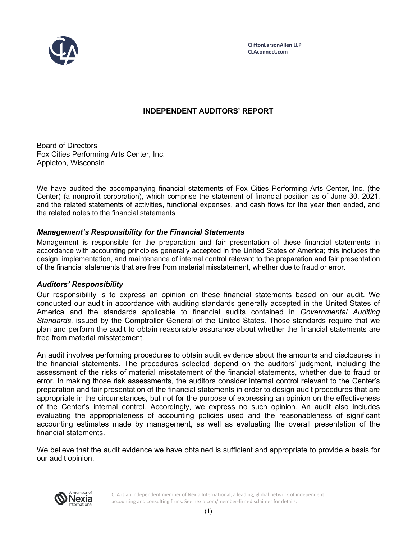

## **INDEPENDENT AUDITORS' REPORT**

Board of Directors Fox Cities Performing Arts Center, Inc. Appleton, Wisconsin

We have audited the accompanying financial statements of Fox Cities Performing Arts Center, Inc. (the Center) (a nonprofit corporation), which comprise the statement of financial position as of June 30, 2021, and the related statements of activities, functional expenses, and cash flows for the year then ended, and the related notes to the financial statements.

## *Management's Responsibility for the Financial Statements*

Management is responsible for the preparation and fair presentation of these financial statements in accordance with accounting principles generally accepted in the United States of America; this includes the design, implementation, and maintenance of internal control relevant to the preparation and fair presentation of the financial statements that are free from material misstatement, whether due to fraud or error.

## *Auditors' Responsibility*

Our responsibility is to express an opinion on these financial statements based on our audit. We conducted our audit in accordance with auditing standards generally accepted in the United States of America and the standards applicable to financial audits contained in *Governmental Auditing Standards*, issued by the Comptroller General of the United States. Those standards require that we plan and perform the audit to obtain reasonable assurance about whether the financial statements are free from material misstatement.

An audit involves performing procedures to obtain audit evidence about the amounts and disclosures in the financial statements. The procedures selected depend on the auditors' judgment, including the assessment of the risks of material misstatement of the financial statements, whether due to fraud or error. In making those risk assessments, the auditors consider internal control relevant to the Center's preparation and fair presentation of the financial statements in order to design audit procedures that are appropriate in the circumstances, but not for the purpose of expressing an opinion on the effectiveness of the Center's internal control. Accordingly, we express no such opinion. An audit also includes evaluating the appropriateness of accounting policies used and the reasonableness of significant accounting estimates made by management, as well as evaluating the overall presentation of the financial statements.

We believe that the audit evidence we have obtained is sufficient and appropriate to provide a basis for our audit opinion.



CLA is an independent member of Nexia International, a leading, global network of independent accounting and consulting firms. See nexia.com/member-firm-disclaimer for details.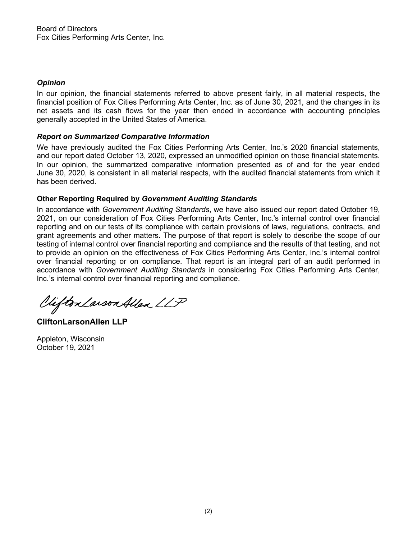## *Opinion*

In our opinion, the financial statements referred to above present fairly, in all material respects, the financial position of Fox Cities Performing Arts Center, Inc. as of June 30, 2021, and the changes in its net assets and its cash flows for the year then ended in accordance with accounting principles generally accepted in the United States of America.

### *Report on Summarized Comparative Information*

We have previously audited the Fox Cities Performing Arts Center, Inc.'s 2020 financial statements, and our report dated October 13, 2020, expressed an unmodified opinion on those financial statements. In our opinion, the summarized comparative information presented as of and for the year ended June 30, 2020, is consistent in all material respects, with the audited financial statements from which it has been derived.

## **Other Reporting Required by** *Government Auditing Standards*

In accordance with *Government Auditing Standards*, we have also issued our report dated October 19, 2021, on our consideration of Fox Cities Performing Arts Center, Inc.'s internal control over financial reporting and on our tests of its compliance with certain provisions of laws, regulations, contracts, and grant agreements and other matters. The purpose of that report is solely to describe the scope of our testing of internal control over financial reporting and compliance and the results of that testing, and not to provide an opinion on the effectiveness of Fox Cities Performing Arts Center, Inc.'s internal control over financial reporting or on compliance. That report is an integral part of an audit performed in accordance with *Government Auditing Standards* in considering Fox Cities Performing Arts Center, Inc.'s internal control over financial reporting and compliance.

Clifton Larson Allen LLP

**CliftonLarsonAllen LLP**

Appleton, Wisconsin October 19, 2021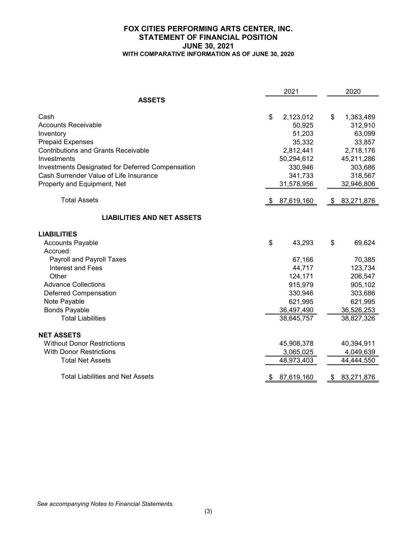#### **FOX CITIES PERFORMING ARTS CENTER, INC. STATEMENT OF FINANCIAL POSITION JUNE 30, 2021 WITH COMPARATIVE INFORMATION AS OF JUNE 30, 2020**

|                                                         |     | 2021       | 2020             |
|---------------------------------------------------------|-----|------------|------------------|
| <b>ASSETS</b>                                           |     |            |                  |
| Cash                                                    | \$  | 2,123,012  | \$<br>1,363,489  |
| <b>Accounts Receivable</b>                              |     | 50,925     | 312,910          |
| Inventory                                               |     | 51,203     | 63,099           |
| <b>Prepaid Expenses</b>                                 |     | 35,332     | 33,857           |
| <b>Contributions and Grants Receivable</b>              |     | 2,812,441  | 2,718,176        |
| Investments                                             |     | 50,294,612 | 45,211,286       |
| <b>Investments Designated for Deferred Compensation</b> |     | 330,946    | 303,686          |
| Cash Surrender Value of Life Insurance                  |     | 341,733    | 318,567          |
| Property and Equipment, Net                             |     | 31,578,956 | 32,946,806       |
| <b>Total Assets</b>                                     | S.  | 87,619,160 | \$<br>83,271,876 |
| <b>LIABILITIES AND NET ASSETS</b>                       |     |            |                  |
| <b>LIABILITIES</b>                                      |     |            |                  |
| <b>Accounts Payable</b>                                 | \$  | 43,293     | \$<br>69,624     |
| Accrued:                                                |     |            |                  |
| Payroll and Payroll Taxes                               |     | 67,166     | 70,385           |
| Interest and Fees                                       |     | 44,717     | 123,734          |
| Other                                                   |     | 124,171    | 206,547          |
| <b>Advance Collections</b>                              |     | 915,979    | 905,102          |
| <b>Deferred Compensation</b>                            |     | 330,946    | 303,686          |
| Note Payable                                            |     | 621,995    | 621,995          |
| <b>Bonds Payable</b>                                    |     | 36,497,490 | 36,526,253       |
| <b>Total Liabilities</b>                                |     | 38,645,757 | 38,827,326       |
| <b>NET ASSETS</b>                                       |     |            |                  |
| <b>Without Donor Restrictions</b>                       |     | 45,908,378 | 40,394,911       |
| <b>With Donor Restrictions</b>                          |     | 3,065,025  | 4,049,639        |
| <b>Total Net Assets</b>                                 |     | 48,973,403 | 44,444,550       |
| <b>Total Liabilities and Net Assets</b>                 | \$. | 87,619,160 | \$<br>83,271,876 |

*See accompanying Notes to Financial Statements.*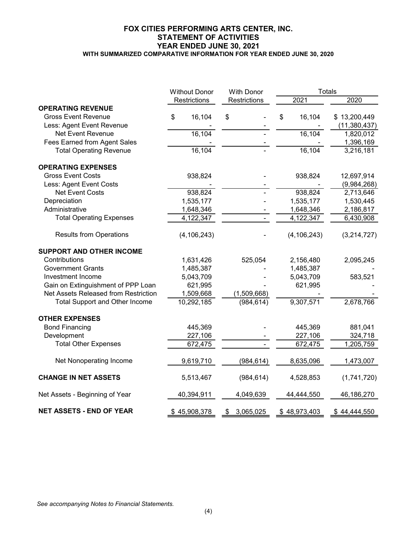#### **FOX CITIES PERFORMING ARTS CENTER, INC. STATEMENT OF ACTIVITIES YEAR ENDED JUNE 30, 2021 WITH SUMMARIZED COMPARATIVE INFORMATION FOR YEAR ENDED JUNE 30, 2020**

|                                       | <b>Without Donor</b> | <b>With Donor</b> |               | <b>Totals</b>  |  |
|---------------------------------------|----------------------|-------------------|---------------|----------------|--|
|                                       | Restrictions         | Restrictions      | 2021          | 2020           |  |
| <b>OPERATING REVENUE</b>              |                      |                   |               |                |  |
| <b>Gross Event Revenue</b>            | 16,104<br>\$         | \$                | \$<br>16,104  | \$13,200,449   |  |
| Less: Agent Event Revenue             |                      |                   |               | (11, 380, 437) |  |
| Net Event Revenue                     | 16,104               |                   | 16,104        | 1,820,012      |  |
| Fees Earned from Agent Sales          |                      |                   |               | 1,396,169      |  |
| <b>Total Operating Revenue</b>        | 16,104               |                   | 16,104        | 3,216,181      |  |
| <b>OPERATING EXPENSES</b>             |                      |                   |               |                |  |
| <b>Gross Event Costs</b>              | 938,824              |                   | 938,824       | 12,697,914     |  |
| Less: Agent Event Costs               |                      |                   |               | (9,984,268)    |  |
| <b>Net Event Costs</b>                | 938,824              |                   | 938,824       | 2,713,646      |  |
| Depreciation                          | 1,535,177            |                   | 1,535,177     | 1,530,445      |  |
| Administrative                        | 1,648,346            |                   | 1,648,346     | 2,186,817      |  |
| <b>Total Operating Expenses</b>       | 4,122,347            |                   | 4,122,347     | 6,430,908      |  |
| <b>Results from Operations</b>        | (4, 106, 243)        |                   | (4, 106, 243) | (3,214,727)    |  |
| <b>SUPPORT AND OTHER INCOME</b>       |                      |                   |               |                |  |
| Contributions                         | 1,631,426            | 525,054           | 2,156,480     | 2,095,245      |  |
| <b>Government Grants</b>              | 1,485,387            |                   | 1,485,387     |                |  |
| Investment Income                     | 5,043,709            |                   | 5,043,709     | 583,521        |  |
| Gain on Extinguishment of PPP Loan    | 621,995              |                   | 621,995       |                |  |
| Net Assets Released from Restriction  | 1,509,668            | (1,509,668)       |               |                |  |
| <b>Total Support and Other Income</b> | 10,292,185           | (984, 614)        | 9,307,571     | 2,678,766      |  |
| <b>OTHER EXPENSES</b>                 |                      |                   |               |                |  |
| <b>Bond Financing</b>                 | 445,369              |                   | 445,369       | 881,041        |  |
| Development                           | 227,106              |                   | 227,106       | 324,718        |  |
| <b>Total Other Expenses</b>           | 672,475              |                   | 672,475       | 1,205,759      |  |
| Net Nonoperating Income               | 9,619,710            | (984, 614)        | 8,635,096     | 1,473,007      |  |
| <b>CHANGE IN NET ASSETS</b>           | 5,513,467            | (984, 614)        | 4,528,853     | (1,741,720)    |  |
| Net Assets - Beginning of Year        | 40,394,911           | 4,049,639         | 44,444,550    | 46,186,270     |  |
| <b>NET ASSETS - END OF YEAR</b>       | \$45,908,378         | 3,065,025<br>S    | \$48,973,403  | \$44,444,550   |  |

*See accompanying Notes to Financial Statements.*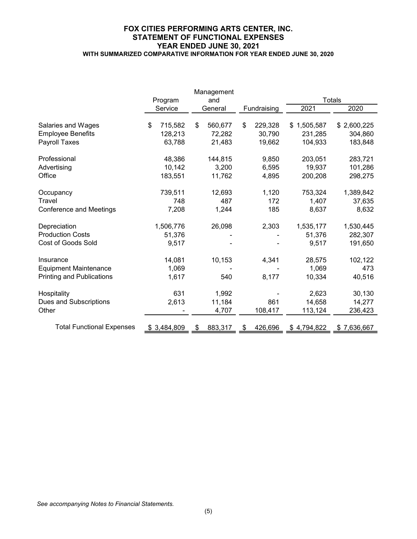#### **FOX CITIES PERFORMING ARTS CENTER, INC. STATEMENT OF FUNCTIONAL EXPENSES YEAR ENDED JUNE 30, 2021 WITH SUMMARIZED COMPARATIVE INFORMATION FOR YEAR ENDED JUNE 30, 2020**

|                                  |               | Management    |       |             |             |               |  |  |  |  |  |  |         |         |
|----------------------------------|---------------|---------------|-------|-------------|-------------|---------------|--|--|--|--|--|--|---------|---------|
|                                  | Program       | and           |       |             |             | <b>Totals</b> |  |  |  |  |  |  |         |         |
|                                  | Service       | General       |       | Fundraising | 2021        | 2020          |  |  |  |  |  |  |         |         |
|                                  |               |               |       |             |             |               |  |  |  |  |  |  |         |         |
| Salaries and Wages               | \$<br>715,582 | \$<br>560,677 | \$    | 229,328     | \$1,505,587 | \$2,600,225   |  |  |  |  |  |  |         |         |
| <b>Employee Benefits</b>         | 128,213       | 72,282        |       | 30,790      | 231,285     | 304,860       |  |  |  |  |  |  |         |         |
| Payroll Taxes                    | 63,788        | 21,483        |       | 19,662      | 104,933     | 183,848       |  |  |  |  |  |  |         |         |
| Professional                     | 48,386        | 144,815       |       | 9,850       | 203,051     | 283,721       |  |  |  |  |  |  |         |         |
| Advertising                      | 10,142        | 3,200         |       | 6,595       | 19,937      | 101,286       |  |  |  |  |  |  |         |         |
| Office                           | 183,551       | 11,762        | 4,895 |             |             |               |  |  |  |  |  |  | 200,208 | 298,275 |
| Occupancy                        | 739,511       | 12,693        |       | 1,120       | 753,324     | 1,389,842     |  |  |  |  |  |  |         |         |
| Travel                           | 748           | 487           |       | 172         | 1,407       | 37,635        |  |  |  |  |  |  |         |         |
| <b>Conference and Meetings</b>   | 7,208         | 1,244         |       | 185         | 8,637       | 8,632         |  |  |  |  |  |  |         |         |
| Depreciation                     | 1,506,776     | 26,098        |       | 2,303       | 1,535,177   | 1,530,445     |  |  |  |  |  |  |         |         |
| <b>Production Costs</b>          | 51,376        |               |       |             | 51,376      | 282,307       |  |  |  |  |  |  |         |         |
| Cost of Goods Sold               | 9,517         |               |       |             | 9,517       | 191,650       |  |  |  |  |  |  |         |         |
| Insurance                        | 14,081        | 10,153        |       | 4,341       | 28,575      | 102,122       |  |  |  |  |  |  |         |         |
| <b>Equipment Maintenance</b>     | 1,069         |               |       |             | 1,069       | 473           |  |  |  |  |  |  |         |         |
| <b>Printing and Publications</b> | 1,617         | 540           |       | 8,177       | 10,334      | 40,516        |  |  |  |  |  |  |         |         |
| Hospitality                      | 631           | 1,992         |       |             | 2,623       | 30,130        |  |  |  |  |  |  |         |         |
| Dues and Subscriptions           | 2,613         | 11,184        |       | 861         | 14,658      | 14,277        |  |  |  |  |  |  |         |         |
| Other                            |               | 4,707         |       | 108,417     | 113,124     | 236,423       |  |  |  |  |  |  |         |         |
|                                  |               |               |       |             |             |               |  |  |  |  |  |  |         |         |
| <b>Total Functional Expenses</b> | 3,484,809     | 883,317       |       | 426,696     | \$4,794,822 | \$7,636,667   |  |  |  |  |  |  |         |         |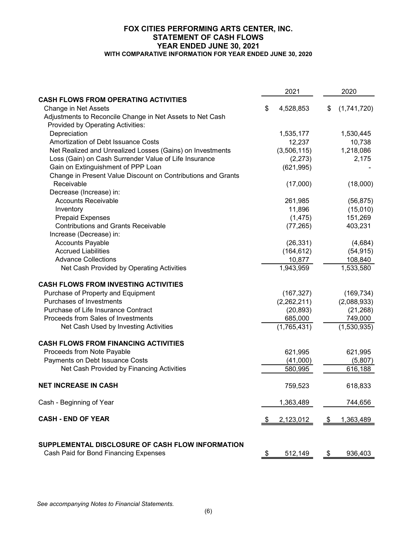#### **FOX CITIES PERFORMING ARTS CENTER, INC. STATEMENT OF CASH FLOWS YEAR ENDED JUNE 30, 2021 WITH COMPARATIVE INFORMATION FOR YEAR ENDED JUNE 30, 2020**

|                                                                                           |      | 2021        |            | 2020        |
|-------------------------------------------------------------------------------------------|------|-------------|------------|-------------|
| <b>CASH FLOWS FROM OPERATING ACTIVITIES</b>                                               |      |             |            |             |
| Change in Net Assets                                                                      | \$   | 4,528,853   | \$         | (1,741,720) |
| Adjustments to Reconcile Change in Net Assets to Net Cash                                 |      |             |            |             |
| Provided by Operating Activities:                                                         |      |             |            |             |
| Depreciation                                                                              |      | 1,535,177   |            | 1,530,445   |
| Amortization of Debt Issuance Costs                                                       |      | 12,237      |            | 10,738      |
| Net Realized and Unrealized Losses (Gains) on Investments                                 |      | (3,506,115) |            | 1,218,086   |
| Loss (Gain) on Cash Surrender Value of Life Insurance                                     |      | (2,273)     |            | 2,175       |
| Gain on Extinguishment of PPP Loan                                                        |      | (621, 995)  |            |             |
| Change in Present Value Discount on Contributions and Grants                              |      |             |            |             |
| Receivable                                                                                |      | (17,000)    |            | (18,000)    |
| Decrease (Increase) in:                                                                   |      |             |            |             |
| <b>Accounts Receivable</b>                                                                |      | 261,985     |            | (56, 875)   |
| Inventory                                                                                 |      | 11,896      |            | (15,010)    |
| <b>Prepaid Expenses</b>                                                                   |      | (1, 475)    |            | 151,269     |
| <b>Contributions and Grants Receivable</b>                                                |      | (77, 265)   |            | 403,231     |
| Increase (Decrease) in:                                                                   |      |             |            |             |
| <b>Accounts Payable</b>                                                                   |      | (26, 331)   |            | (4,684)     |
| <b>Accrued Liabilities</b>                                                                |      | (164, 612)  |            | (54, 915)   |
| <b>Advance Collections</b>                                                                |      | 10,877      |            | 108,840     |
| Net Cash Provided by Operating Activities                                                 |      | 1,943,959   |            | 1,533,580   |
| <b>CASH FLOWS FROM INVESTING ACTIVITIES</b>                                               |      |             |            |             |
| Purchase of Property and Equipment                                                        |      | (167, 327)  |            | (169, 734)  |
| Purchases of Investments                                                                  |      | (2,262,211) |            | (2,088,933) |
| Purchase of Life Insurance Contract                                                       |      | (20, 893)   |            | (21, 268)   |
| Proceeds from Sales of Investments                                                        |      | 685,000     |            | 749,000     |
| Net Cash Used by Investing Activities                                                     |      | (1,765,431) |            | (1,530,935) |
| <b>CASH FLOWS FROM FINANCING ACTIVITIES</b>                                               |      |             |            |             |
| Proceeds from Note Payable                                                                |      | 621,995     |            | 621,995     |
| Payments on Debt Issuance Costs                                                           |      | (41,000)    |            | (5,807)     |
| Net Cash Provided by Financing Activities                                                 |      | 580,995     |            | 616,188     |
| <b>NET INCREASE IN CASH</b>                                                               |      | 759,523     |            | 618,833     |
| Cash - Beginning of Year                                                                  |      | 1,363,489   |            | 744,656     |
| <b>CASH - END OF YEAR</b>                                                                 | - \$ | 2,123,012   | - \$       | 1,363,489   |
| SUPPLEMENTAL DISCLOSURE OF CASH FLOW INFORMATION<br>Cash Paid for Bond Financing Expenses | \$   | 512,149     | $\sqrt{3}$ | 936,403     |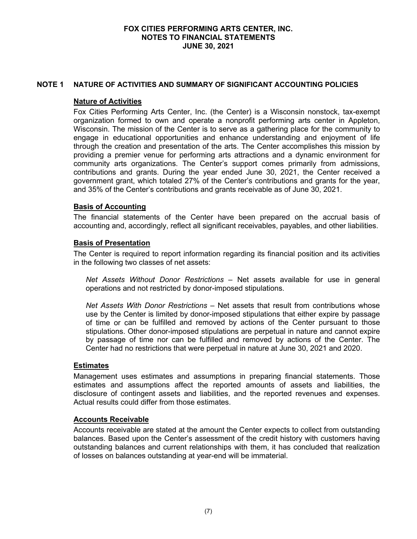#### **NOTE 1 NATURE OF ACTIVITIES AND SUMMARY OF SIGNIFICANT ACCOUNTING POLICIES**

#### **Nature of Activities**

Fox Cities Performing Arts Center, Inc. (the Center) is a Wisconsin nonstock, tax-exempt organization formed to own and operate a nonprofit performing arts center in Appleton, Wisconsin. The mission of the Center is to serve as a gathering place for the community to engage in educational opportunities and enhance understanding and enjoyment of life through the creation and presentation of the arts. The Center accomplishes this mission by providing a premier venue for performing arts attractions and a dynamic environment for community arts organizations. The Center's support comes primarily from admissions, contributions and grants. During the year ended June 30, 2021, the Center received a government grant, which totaled 27% of the Center's contributions and grants for the year, and 35% of the Center's contributions and grants receivable as of June 30, 2021.

### **Basis of Accounting**

The financial statements of the Center have been prepared on the accrual basis of accounting and, accordingly, reflect all significant receivables, payables, and other liabilities.

### **Basis of Presentation**

The Center is required to report information regarding its financial position and its activities in the following two classes of net assets:

*Net Assets Without Donor Restrictions* – Net assets available for use in general operations and not restricted by donor-imposed stipulations.

*Net Assets With Donor Restrictions* – Net assets that result from contributions whose use by the Center is limited by donor-imposed stipulations that either expire by passage of time or can be fulfilled and removed by actions of the Center pursuant to those stipulations. Other donor-imposed stipulations are perpetual in nature and cannot expire by passage of time nor can be fulfilled and removed by actions of the Center. The Center had no restrictions that were perpetual in nature at June 30, 2021 and 2020.

#### **Estimates**

Management uses estimates and assumptions in preparing financial statements. Those estimates and assumptions affect the reported amounts of assets and liabilities, the disclosure of contingent assets and liabilities, and the reported revenues and expenses. Actual results could differ from those estimates.

#### **Accounts Receivable**

Accounts receivable are stated at the amount the Center expects to collect from outstanding balances. Based upon the Center's assessment of the credit history with customers having outstanding balances and current relationships with them, it has concluded that realization of losses on balances outstanding at year-end will be immaterial.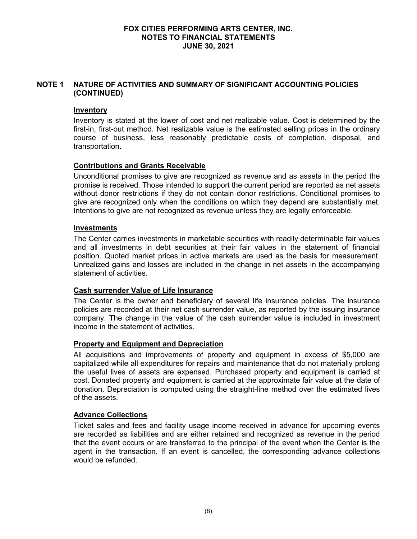### **NOTE 1 NATURE OF ACTIVITIES AND SUMMARY OF SIGNIFICANT ACCOUNTING POLICIES (CONTINUED)**

## **Inventory**

Inventory is stated at the lower of cost and net realizable value. Cost is determined by the first-in, first-out method. Net realizable value is the estimated selling prices in the ordinary course of business, less reasonably predictable costs of completion, disposal, and transportation.

## **Contributions and Grants Receivable**

Unconditional promises to give are recognized as revenue and as assets in the period the promise is received. Those intended to support the current period are reported as net assets without donor restrictions if they do not contain donor restrictions. Conditional promises to give are recognized only when the conditions on which they depend are substantially met. Intentions to give are not recognized as revenue unless they are legally enforceable.

## **Investments**

The Center carries investments in marketable securities with readily determinable fair values and all investments in debt securities at their fair values in the statement of financial position. Quoted market prices in active markets are used as the basis for measurement. Unrealized gains and losses are included in the change in net assets in the accompanying statement of activities.

## **Cash surrender Value of Life Insurance**

The Center is the owner and beneficiary of several life insurance policies. The insurance policies are recorded at their net cash surrender value, as reported by the issuing insurance company. The change in the value of the cash surrender value is included in investment income in the statement of activities.

## **Property and Equipment and Depreciation**

All acquisitions and improvements of property and equipment in excess of \$5,000 are capitalized while all expenditures for repairs and maintenance that do not materially prolong the useful lives of assets are expensed. Purchased property and equipment is carried at cost. Donated property and equipment is carried at the approximate fair value at the date of donation. Depreciation is computed using the straight-line method over the estimated lives of the assets.

## **Advance Collections**

Ticket sales and fees and facility usage income received in advance for upcoming events are recorded as liabilities and are either retained and recognized as revenue in the period that the event occurs or are transferred to the principal of the event when the Center is the agent in the transaction. If an event is cancelled, the corresponding advance collections would be refunded.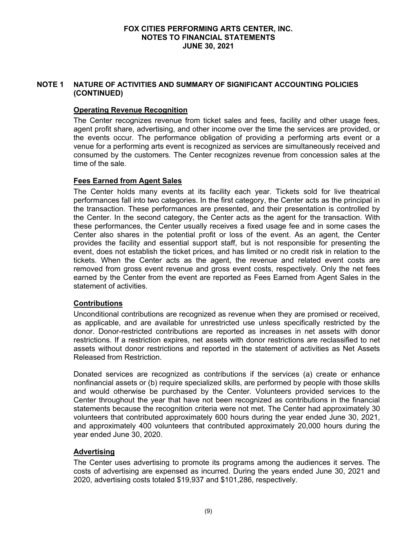### **NOTE 1 NATURE OF ACTIVITIES AND SUMMARY OF SIGNIFICANT ACCOUNTING POLICIES (CONTINUED)**

## **Operating Revenue Recognition**

The Center recognizes revenue from ticket sales and fees, facility and other usage fees, agent profit share, advertising, and other income over the time the services are provided, or the events occur. The performance obligation of providing a performing arts event or a venue for a performing arts event is recognized as services are simultaneously received and consumed by the customers. The Center recognizes revenue from concession sales at the time of the sale.

### **Fees Earned from Agent Sales**

The Center holds many events at its facility each year. Tickets sold for live theatrical performances fall into two categories. In the first category, the Center acts as the principal in the transaction. These performances are presented, and their presentation is controlled by the Center. In the second category, the Center acts as the agent for the transaction. With these performances, the Center usually receives a fixed usage fee and in some cases the Center also shares in the potential profit or loss of the event. As an agent, the Center provides the facility and essential support staff, but is not responsible for presenting the event, does not establish the ticket prices, and has limited or no credit risk in relation to the tickets. When the Center acts as the agent, the revenue and related event costs are removed from gross event revenue and gross event costs, respectively. Only the net fees earned by the Center from the event are reported as Fees Earned from Agent Sales in the statement of activities.

## **Contributions**

Unconditional contributions are recognized as revenue when they are promised or received, as applicable, and are available for unrestricted use unless specifically restricted by the donor. Donor-restricted contributions are reported as increases in net assets with donor restrictions. If a restriction expires, net assets with donor restrictions are reclassified to net assets without donor restrictions and reported in the statement of activities as Net Assets Released from Restriction.

Donated services are recognized as contributions if the services (a) create or enhance nonfinancial assets or (b) require specialized skills, are performed by people with those skills and would otherwise be purchased by the Center. Volunteers provided services to the Center throughout the year that have not been recognized as contributions in the financial statements because the recognition criteria were not met. The Center had approximately 30 volunteers that contributed approximately 600 hours during the year ended June 30, 2021, and approximately 400 volunteers that contributed approximately 20,000 hours during the year ended June 30, 2020.

## **Advertising**

The Center uses advertising to promote its programs among the audiences it serves. The costs of advertising are expensed as incurred. During the years ended June 30, 2021 and 2020, advertising costs totaled \$19,937 and \$101,286, respectively.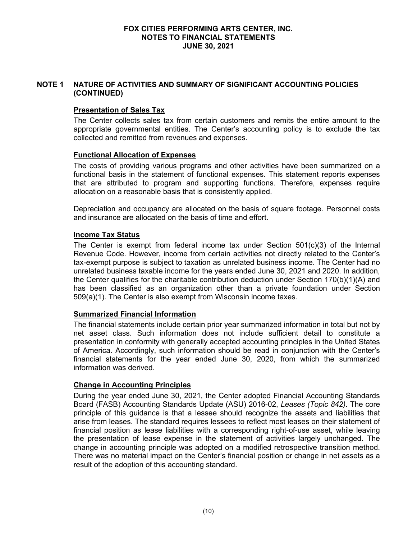## **NOTE 1 NATURE OF ACTIVITIES AND SUMMARY OF SIGNIFICANT ACCOUNTING POLICIES (CONTINUED)**

## **Presentation of Sales Tax**

The Center collects sales tax from certain customers and remits the entire amount to the appropriate governmental entities. The Center's accounting policy is to exclude the tax collected and remitted from revenues and expenses.

## **Functional Allocation of Expenses**

The costs of providing various programs and other activities have been summarized on a functional basis in the statement of functional expenses. This statement reports expenses that are attributed to program and supporting functions. Therefore, expenses require allocation on a reasonable basis that is consistently applied.

Depreciation and occupancy are allocated on the basis of square footage. Personnel costs and insurance are allocated on the basis of time and effort.

## **Income Tax Status**

The Center is exempt from federal income tax under Section  $501(c)(3)$  of the Internal Revenue Code. However, income from certain activities not directly related to the Center's tax-exempt purpose is subject to taxation as unrelated business income. The Center had no unrelated business taxable income for the years ended June 30, 2021 and 2020. In addition, the Center qualifies for the charitable contribution deduction under Section 170(b)(1)(A) and has been classified as an organization other than a private foundation under Section 509(a)(1). The Center is also exempt from Wisconsin income taxes.

## **Summarized Financial Information**

The financial statements include certain prior year summarized information in total but not by net asset class. Such information does not include sufficient detail to constitute a presentation in conformity with generally accepted accounting principles in the United States of America. Accordingly, such information should be read in conjunction with the Center's financial statements for the year ended June 30, 2020, from which the summarized information was derived.

## **Change in Accounting Principles**

During the year ended June 30, 2021, the Center adopted Financial Accounting Standards Board (FASB) Accounting Standards Update (ASU) 2016-02, *Leases (Topic 842)*. The core principle of this guidance is that a lessee should recognize the assets and liabilities that arise from leases. The standard requires lessees to reflect most leases on their statement of financial position as lease liabilities with a corresponding right-of-use asset, while leaving the presentation of lease expense in the statement of activities largely unchanged. The change in accounting principle was adopted on a modified retrospective transition method. There was no material impact on the Center's financial position or change in net assets as a result of the adoption of this accounting standard.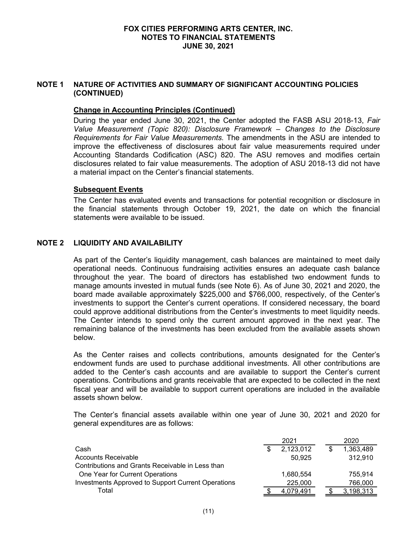### **NOTE 1 NATURE OF ACTIVITIES AND SUMMARY OF SIGNIFICANT ACCOUNTING POLICIES (CONTINUED)**

#### **Change in Accounting Principles (Continued)**

During the year ended June 30, 2021, the Center adopted the FASB ASU 2018-13, *Fair Value Measurement (Topic 820): Disclosure Framework – Changes to the Disclosure Requirements for Fair Value Measurements.* The amendments in the ASU are intended to improve the effectiveness of disclosures about fair value measurements required under Accounting Standards Codification (ASC) 820. The ASU removes and modifies certain disclosures related to fair value measurements. The adoption of ASU 2018-13 did not have a material impact on the Center's financial statements.

#### **Subsequent Events**

The Center has evaluated events and transactions for potential recognition or disclosure in the financial statements through October 19, 2021, the date on which the financial statements were available to be issued.

## **NOTE 2 LIQUIDITY AND AVAILABILITY**

As part of the Center's liquidity management, cash balances are maintained to meet daily operational needs. Continuous fundraising activities ensures an adequate cash balance throughout the year. The board of directors has established two endowment funds to manage amounts invested in mutual funds (see Note 6). As of June 30, 2021 and 2020, the board made available approximately \$225,000 and \$766,000, respectively, of the Center's investments to support the Center's current operations. If considered necessary, the board could approve additional distributions from the Center's investments to meet liquidity needs. The Center intends to spend only the current amount approved in the next year. The remaining balance of the investments has been excluded from the available assets shown below.

As the Center raises and collects contributions, amounts designated for the Center's endowment funds are used to purchase additional investments. All other contributions are added to the Center's cash accounts and are available to support the Center's current operations. Contributions and grants receivable that are expected to be collected in the next fiscal year and will be available to support current operations are included in the available assets shown below.

The Center's financial assets available within one year of June 30, 2021 and 2020 for general expenditures are as follows:

|                                                    | 2021      |  | 2020      |
|----------------------------------------------------|-----------|--|-----------|
| Cash                                               | 2,123,012 |  | 1,363,489 |
| Accounts Receivable                                | 50.925    |  | 312,910   |
| Contributions and Grants Receivable in Less than   |           |  |           |
| One Year for Current Operations                    | 1.680.554 |  | 755.914   |
| Investments Approved to Support Current Operations | 225,000   |  | 766,000   |
| Total                                              | 4.079.491 |  | 3,198,313 |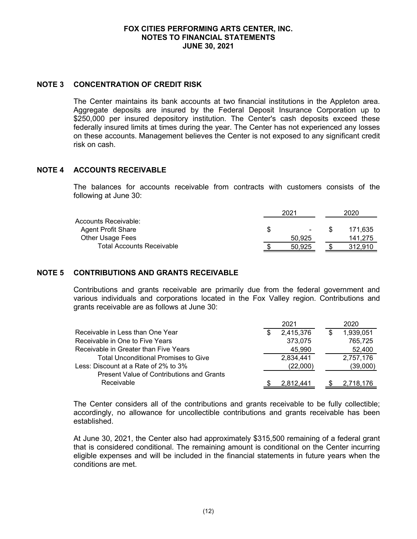#### **NOTE 3 CONCENTRATION OF CREDIT RISK**

The Center maintains its bank accounts at two financial institutions in the Appleton area. Aggregate deposits are insured by the Federal Deposit Insurance Corporation up to \$250,000 per insured depository institution. The Center's cash deposits exceed these federally insured limits at times during the year. The Center has not experienced any losses on these accounts. Management believes the Center is not exposed to any significant credit risk on cash.

## **NOTE 4 ACCOUNTS RECEIVABLE**

The balances for accounts receivable from contracts with customers consists of the following at June 30:

|                                  |   | 2021           |  | 2020    |  |
|----------------------------------|---|----------------|--|---------|--|
| Accounts Receivable:             |   |                |  |         |  |
| <b>Agent Profit Share</b>        | S | $\blacksquare$ |  | 171.635 |  |
| Other Usage Fees                 |   | 50,925         |  | 141.275 |  |
| <b>Total Accounts Receivable</b> |   | 50.925         |  | 312.910 |  |

## **NOTE 5 CONTRIBUTIONS AND GRANTS RECEIVABLE**

Contributions and grants receivable are primarily due from the federal government and various individuals and corporations located in the Fox Valley region. Contributions and grants receivable are as follows at June 30:

|                                                  |   | 2021      | 2020      |
|--------------------------------------------------|---|-----------|-----------|
| Receivable in Less than One Year                 | S | 2,415,376 | 1,939,051 |
| Receivable in One to Five Years                  |   | 373,075   | 765,725   |
| Receivable in Greater than Five Years            |   | 45,990    | 52,400    |
| <b>Total Unconditional Promises to Give</b>      |   | 2,834,441 | 2,757,176 |
| Less: Discount at a Rate of 2% to 3%             |   | (22,000)  | (39,000)  |
| <b>Present Value of Contributions and Grants</b> |   |           |           |
| Receivable                                       |   | 2.812.441 | 2,718,176 |

The Center considers all of the contributions and grants receivable to be fully collectible; accordingly, no allowance for uncollectible contributions and grants receivable has been established.

At June 30, 2021, the Center also had approximately \$315,500 remaining of a federal grant that is considered conditional. The remaining amount is conditional on the Center incurring eligible expenses and will be included in the financial statements in future years when the conditions are met.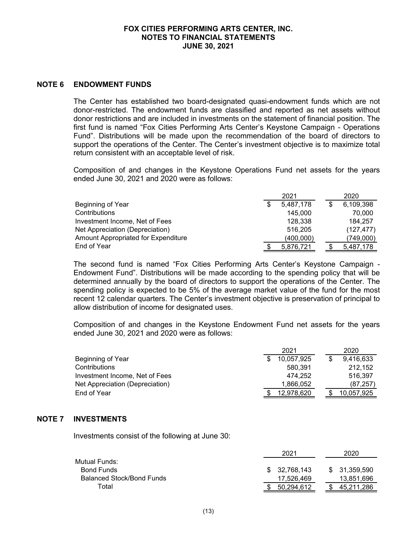#### **NOTE 6 ENDOWMENT FUNDS**

The Center has established two board-designated quasi-endowment funds which are not donor-restricted. The endowment funds are classified and reported as net assets without donor restrictions and are included in investments on the statement of financial position. The first fund is named "Fox Cities Performing Arts Center's Keystone Campaign - Operations Fund". Distributions will be made upon the recommendation of the board of directors to support the operations of the Center. The Center's investment objective is to maximize total return consistent with an acceptable level of risk.

Composition of and changes in the Keystone Operations Fund net assets for the years ended June 30, 2021 and 2020 were as follows:

|                                     |   | 2021      | 2020       |
|-------------------------------------|---|-----------|------------|
| Beginning of Year                   | S | 5,487,178 | 6,109,398  |
| Contributions                       |   | 145.000   | 70,000     |
| Investment Income, Net of Fees      |   | 128.338   | 184.257    |
| Net Appreciation (Depreciation)     |   | 516,205   | (127, 477) |
| Amount Appropriated for Expenditure |   | (400,000) | (749,000)  |
| End of Year                         |   | 5,876,721 | 5,487,178  |

The second fund is named "Fox Cities Performing Arts Center's Keystone Campaign - Endowment Fund". Distributions will be made according to the spending policy that will be determined annually by the board of directors to support the operations of the Center. The spending policy is expected to be 5% of the average market value of the fund for the most recent 12 calendar quarters. The Center's investment objective is preservation of principal to allow distribution of income for designated uses.

Composition of and changes in the Keystone Endowment Fund net assets for the years ended June 30, 2021 and 2020 were as follows:

|                                 | 2021       |  | 2020       |
|---------------------------------|------------|--|------------|
| Beginning of Year               | 10,057,925 |  | 9,416,633  |
| Contributions                   | 580.391    |  | 212.152    |
| Investment Income, Net of Fees  | 474.252    |  | 516.397    |
| Net Appreciation (Depreciation) | 1,866,052  |  | (87, 257)  |
| End of Year                     | 12.978.620 |  | 10,057,925 |

#### **NOTE 7 INVESTMENTS**

Investments consist of the following at June 30:

|                                  | 2021          | 2020          |
|----------------------------------|---------------|---------------|
| Mutual Funds:                    |               |               |
| <b>Bond Funds</b>                | \$ 32.768.143 | \$ 31,359,590 |
| <b>Balanced Stock/Bond Funds</b> | 17,526,469    | 13,851,696    |
| Total                            | 50.294.612    | 45.211.286    |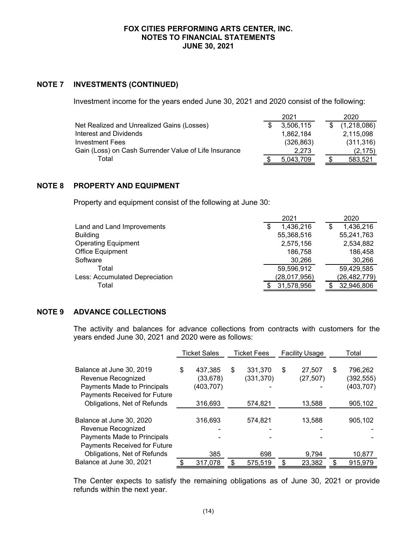### **NOTE 7 INVESTMENTS (CONTINUED)**

Investment income for the years ended June 30, 2021 and 2020 consist of the following:

| 2021       | 2020        |
|------------|-------------|
| 3,506,115  | (1,218,086) |
| 1.862.184  | 2,115,098   |
| (326, 863) | (311, 316)  |
| 2.273      | (2, 175)    |
| 5,043,709  | 583,521     |
|            |             |

#### **NOTE 8 PROPERTY AND EQUIPMENT**

Property and equipment consist of the following at June 30:

|                                | 2021           | 2020           |
|--------------------------------|----------------|----------------|
| Land and Land Improvements     | 1,436,216<br>S | 1,436,216      |
| <b>Building</b>                | 55,368,516     | 55,241,763     |
| <b>Operating Equipment</b>     | 2,575,156      | 2,534,882      |
| Office Equipment               | 186,758        | 186,458        |
| Software                       | 30,266         | 30,266         |
| Total                          | 59,596,912     | 59,429,585     |
| Less: Accumulated Depreciation | (28, 017, 956) | (26, 482, 779) |
| Total                          | 31,578,956     | 32,946,806     |
|                                |                |                |

#### **NOTE 9 ADVANCE COLLECTIONS**

The activity and balances for advance collections from contracts with customers for the years ended June 30, 2021 and 2020 were as follows:

|                                                                                                                                              | <b>Ticket Sales</b>                                |   | <b>Ticket Fees</b>               | <b>Facility Usage</b> |                               | Total                                               |
|----------------------------------------------------------------------------------------------------------------------------------------------|----------------------------------------------------|---|----------------------------------|-----------------------|-------------------------------|-----------------------------------------------------|
| Balance at June 30, 2019<br>Revenue Recognized<br>Payments Made to Principals<br>Payments Received for Future<br>Obligations, Net of Refunds | \$<br>437,385<br>(33, 678)<br>(403,707)<br>316,693 | S | 331.370<br>(331, 370)<br>574,821 | \$                    | 27,507<br>(27, 507)<br>13,588 | \$<br>796,262<br>(392,555)<br>(403, 707)<br>905,102 |
| Balance at June 30, 2020<br>Revenue Recognized<br>Payments Made to Principals<br>Payments Received for Future<br>Obligations, Net of Refunds | 316,693<br>385                                     |   | 574,821<br>698                   |                       | 13,588<br>9,794               | 905,102<br>10,877                                   |
| Balance at June 30, 2021                                                                                                                     | 317,078                                            |   | 575,519                          | \$                    | 23,382                        | \$<br>915,979                                       |

The Center expects to satisfy the remaining obligations as of June 30, 2021 or provide refunds within the next year.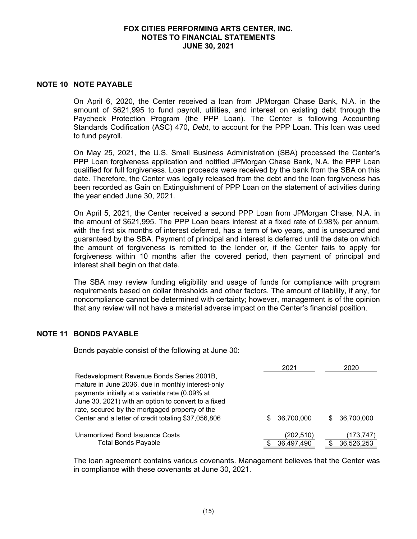#### **NOTE 10 NOTE PAYABLE**

On April 6, 2020, the Center received a loan from JPMorgan Chase Bank, N.A. in the amount of \$621,995 to fund payroll, utilities, and interest on existing debt through the Paycheck Protection Program (the PPP Loan). The Center is following Accounting Standards Codification (ASC) 470, *Debt*, to account for the PPP Loan. This loan was used to fund payroll.

On May 25, 2021, the U.S. Small Business Administration (SBA) processed the Center's PPP Loan forgiveness application and notified JPMorgan Chase Bank, N.A. the PPP Loan qualified for full forgiveness. Loan proceeds were received by the bank from the SBA on this date. Therefore, the Center was legally released from the debt and the loan forgiveness has been recorded as Gain on Extinguishment of PPP Loan on the statement of activities during the year ended June 30, 2021.

On April 5, 2021, the Center received a second PPP Loan from JPMorgan Chase, N.A. in the amount of \$621,995. The PPP Loan bears interest at a fixed rate of 0.98% per annum, with the first six months of interest deferred, has a term of two years, and is unsecured and guaranteed by the SBA. Payment of principal and interest is deferred until the date on which the amount of forgiveness is remitted to the lender or, if the Center fails to apply for forgiveness within 10 months after the covered period, then payment of principal and interest shall begin on that date.

The SBA may review funding eligibility and usage of funds for compliance with program requirements based on dollar thresholds and other factors. The amount of liability, if any, for noncompliance cannot be determined with certainty; however, management is of the opinion that any review will not have a material adverse impact on the Center's financial position.

#### **NOTE 11 BONDS PAYABLE**

Bonds payable consist of the following at June 30:

|                                                                                                                                                                                                                                                            |    | 2021       |    | 2020       |
|------------------------------------------------------------------------------------------------------------------------------------------------------------------------------------------------------------------------------------------------------------|----|------------|----|------------|
| Redevelopment Revenue Bonds Series 2001B,<br>mature in June 2036, due in monthly interest-only<br>payments initially at a variable rate (0.09% at<br>June 30, 2021) with an option to convert to a fixed<br>rate, secured by the mortgaged property of the |    |            |    |            |
| Center and a letter of credit totaling \$37,056,806                                                                                                                                                                                                        | S. | 36,700,000 | S. | 36.700.000 |
| Unamortized Bond Issuance Costs                                                                                                                                                                                                                            |    | (202,510)  |    | (173,747)  |
| <b>Total Bonds Payable</b>                                                                                                                                                                                                                                 |    | 36,497,490 |    | 36,526,253 |

The loan agreement contains various covenants. Management believes that the Center was in compliance with these covenants at June 30, 2021.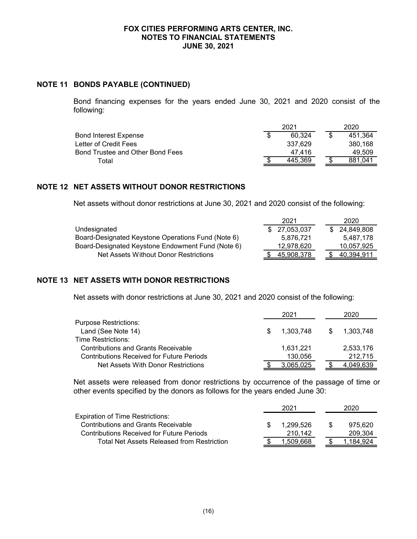#### **NOTE 11 BONDS PAYABLE (CONTINUED)**

Bond financing expenses for the years ended June 30, 2021 and 2020 consist of the following:

|                                  | 2021 |         |  | 2020    |
|----------------------------------|------|---------|--|---------|
| Bond Interest Expense            |      | 60.324  |  | 451.364 |
| Letter of Credit Fees            |      | 337.629 |  | 380.168 |
| Bond Trustee and Other Bond Fees |      | 47.416  |  | 49.509  |
| Total                            |      | 445.369 |  | 881.041 |

### **NOTE 12 NET ASSETS WITHOUT DONOR RESTRICTIONS**

Net assets without donor restrictions at June 30, 2021 and 2020 consist of the following:

|                                                    | 2021         | 2020         |
|----------------------------------------------------|--------------|--------------|
| Undesignated                                       | \$27,053,037 | \$24,849,808 |
| Board-Designated Keystone Operations Fund (Note 6) | 5.876.721    | 5.487.178    |
| Board-Designated Keystone Endowment Fund (Note 6)  | 12.978.620   | 10,057,925   |
| Net Assets Without Donor Restrictions              | 45.908.378   | 40,394,911   |

## **NOTE 13 NET ASSETS WITH DONOR RESTRICTIONS**

Net assets with donor restrictions at June 30, 2021 and 2020 consist of the following:

|                                            |     | 2021      |    | 2020      |
|--------------------------------------------|-----|-----------|----|-----------|
| <b>Purpose Restrictions:</b>               |     |           |    |           |
| Land (See Note 14)                         | SS. | 1.303.748 | S. | 1,303,748 |
| Time Restrictions:                         |     |           |    |           |
| <b>Contributions and Grants Receivable</b> |     | 1,631,221 |    | 2,533,176 |
| Contributions Received for Future Periods  |     | 130.056   |    | 212.715   |
| Net Assets With Donor Restrictions         |     | 3.065.025 |    | 4.049.639 |

Net assets were released from donor restrictions by occurrence of the passage of time or other events specified by the donors as follows for the years ended June 30:

|                                                  | 2021      | 2020.    |
|--------------------------------------------------|-----------|----------|
| <b>Expiration of Time Restrictions:</b>          |           |          |
| <b>Contributions and Grants Receivable</b>       | 1.299.526 | 975.620  |
| <b>Contributions Received for Future Periods</b> | 210.142   | 209.304  |
| Total Net Assets Released from Restriction       | 1.509.668 | .184.924 |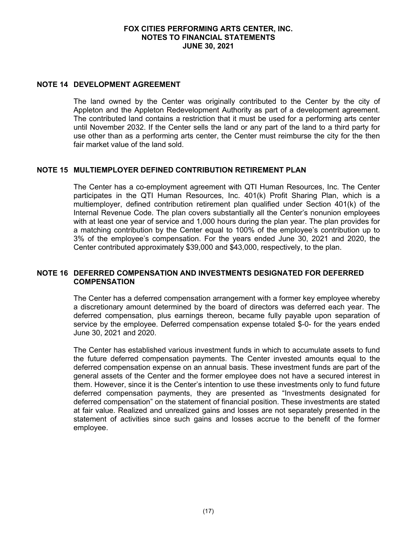#### **NOTE 14 DEVELOPMENT AGREEMENT**

The land owned by the Center was originally contributed to the Center by the city of Appleton and the Appleton Redevelopment Authority as part of a development agreement. The contributed land contains a restriction that it must be used for a performing arts center until November 2032. If the Center sells the land or any part of the land to a third party for use other than as a performing arts center, the Center must reimburse the city for the then fair market value of the land sold.

## **NOTE 15 MULTIEMPLOYER DEFINED CONTRIBUTION RETIREMENT PLAN**

The Center has a co-employment agreement with QTI Human Resources, Inc. The Center participates in the QTI Human Resources, Inc. 401(k) Profit Sharing Plan, which is a multiemployer, defined contribution retirement plan qualified under Section 401(k) of the Internal Revenue Code. The plan covers substantially all the Center's nonunion employees with at least one year of service and 1,000 hours during the plan year. The plan provides for a matching contribution by the Center equal to 100% of the employee's contribution up to 3% of the employee's compensation. For the years ended June 30, 2021 and 2020, the Center contributed approximately \$39,000 and \$43,000, respectively, to the plan.

### **NOTE 16 DEFERRED COMPENSATION AND INVESTMENTS DESIGNATED FOR DEFERRED COMPENSATION**

The Center has a deferred compensation arrangement with a former key employee whereby a discretionary amount determined by the board of directors was deferred each year. The deferred compensation, plus earnings thereon, became fully payable upon separation of service by the employee. Deferred compensation expense totaled \$-0- for the years ended June 30, 2021 and 2020.

The Center has established various investment funds in which to accumulate assets to fund the future deferred compensation payments. The Center invested amounts equal to the deferred compensation expense on an annual basis. These investment funds are part of the general assets of the Center and the former employee does not have a secured interest in them. However, since it is the Center's intention to use these investments only to fund future deferred compensation payments, they are presented as "Investments designated for deferred compensation" on the statement of financial position. These investments are stated at fair value. Realized and unrealized gains and losses are not separately presented in the statement of activities since such gains and losses accrue to the benefit of the former employee.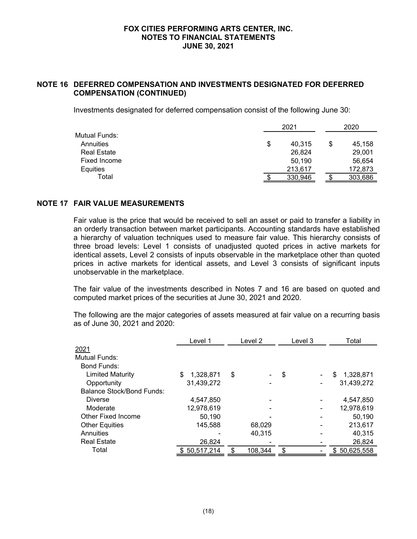## **NOTE 16 DEFERRED COMPENSATION AND INVESTMENTS DESIGNATED FOR DEFERRED COMPENSATION (CONTINUED)**

Investments designated for deferred compensation consist of the following June 30:

|                    | 2021 |         |   | 2020    |  |
|--------------------|------|---------|---|---------|--|
| Mutual Funds:      |      |         |   |         |  |
| Annuities          | \$   | 40.315  | S | 45,158  |  |
| <b>Real Estate</b> |      | 26,824  |   | 29,001  |  |
| Fixed Income       |      | 50.190  |   | 56,654  |  |
| <b>Equities</b>    |      | 213,617 |   | 172,873 |  |
| Total              |      | 330,946 |   | 303,686 |  |

### **NOTE 17 FAIR VALUE MEASUREMENTS**

Fair value is the price that would be received to sell an asset or paid to transfer a liability in an orderly transaction between market participants. Accounting standards have established a hierarchy of valuation techniques used to measure fair value. This hierarchy consists of three broad levels: Level 1 consists of unadjusted quoted prices in active markets for identical assets, Level 2 consists of inputs observable in the marketplace other than quoted prices in active markets for identical assets, and Level 3 consists of significant inputs unobservable in the marketplace.

The fair value of the investments described in Notes 7 and 16 are based on quoted and computed market prices of the securities at June 30, 2021 and 2020.

The following are the major categories of assets measured at fair value on a recurring basis as of June 30, 2021 and 2020:

|                           | Level 1         | Level 2 |         | Level 3 |  | Total          |
|---------------------------|-----------------|---------|---------|---------|--|----------------|
| 2021                      |                 |         |         |         |  |                |
| Mutual Funds:             |                 |         |         |         |  |                |
| Bond Funds:               |                 |         |         |         |  |                |
| <b>Limited Maturity</b>   | \$<br>1,328,871 | \$      |         | \$      |  | 1,328,871<br>S |
| Opportunity               | 31,439,272      |         |         |         |  | 31,439,272     |
| Balance Stock/Bond Funds: |                 |         |         |         |  |                |
| <b>Diverse</b>            | 4,547,850       |         |         |         |  | 4,547,850      |
| Moderate                  | 12,978,619      |         |         |         |  | 12,978,619     |
| Other Fixed Income        | 50,190          |         |         |         |  | 50,190         |
| <b>Other Equities</b>     | 145,588         |         | 68,029  |         |  | 213,617        |
| Annuities                 |                 |         | 40,315  |         |  | 40,315         |
| <b>Real Estate</b>        | 26,824          |         |         |         |  | 26,824         |
| Total                     | \$50,517,214    |         | 108,344 | \$      |  | \$50,625,558   |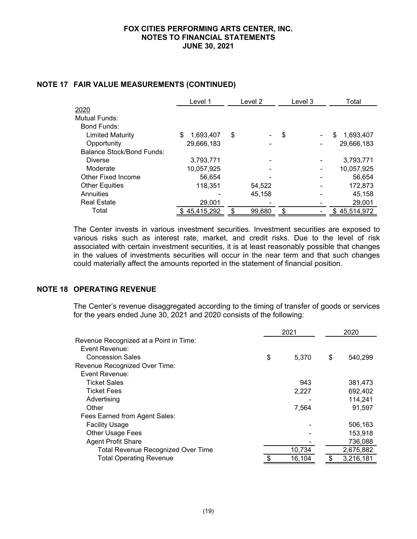|                           | Level 1        | Level 2 | Level 3<br>Total |                |
|---------------------------|----------------|---------|------------------|----------------|
| 2020                      |                |         |                  |                |
| Mutual Funds:             |                |         |                  |                |
| Bond Funds:               |                |         |                  |                |
| <b>Limited Maturity</b>   | S<br>1,693,407 | \$      | \$               | 1,693,407<br>S |
| Opportunity               | 29,666,183     | ٠       |                  | 29,666,183     |
| Balance Stock/Bond Funds: |                |         |                  |                |
| <b>Diverse</b>            | 3.793.771      |         |                  | 3,793,771      |
| Moderate                  | 10,057,925     |         |                  | 10,057,925     |
| Other Fixed Income        | 56,654         |         |                  | 56,654         |
| <b>Other Equities</b>     | 118.351        | 54,522  |                  | 172,873        |
| Annuities                 |                | 45,158  |                  | 45,158         |
| <b>Real Estate</b>        | 29,001         |         |                  | 29,001         |
| Total                     | \$45,415,292   | 99,680  | \$               | \$45.514.972   |

#### **NOTE 17 FAIR VALUE MEASUREMENTS (CONTINUED)**

The Center invests in various investment securities. Investment securities are exposed to various risks such as interest rate, market, and credit risks. Due to the level of risk associated with certain investment securities, it is at least reasonably possible that changes in the values of investments securities will occur in the near term and that such changes could materially affect the amounts reported in the statement of financial position.

## **NOTE 18 OPERATING REVENUE**

The Center's revenue disaggregated according to the timing of transfer of goods or services for the years ended June 30, 2021 and 2020 consists of the following:

|                                           | 2021        | 2020          |  |
|-------------------------------------------|-------------|---------------|--|
| Revenue Recognized at a Point in Time:    |             |               |  |
| Event Revenue:                            |             |               |  |
| <b>Concession Sales</b>                   | \$<br>5,370 | \$<br>540,299 |  |
| Revenue Recognized Over Time:             |             |               |  |
| Event Revenue:                            |             |               |  |
| <b>Ticket Sales</b>                       | 943         | 381,473       |  |
| <b>Ticket Fees</b>                        | 2,227       | 692,402       |  |
| Advertising                               |             | 114,241       |  |
| Other                                     | 7,564       | 91,597        |  |
| Fees Earned from Agent Sales:             |             |               |  |
| <b>Facility Usage</b>                     |             | 506,163       |  |
| <b>Other Usage Fees</b>                   |             | 153,918       |  |
| <b>Agent Profit Share</b>                 |             | 736,088       |  |
| <b>Total Revenue Recognized Over Time</b> | 10,734      | 2,675,882     |  |
| <b>Total Operating Revenue</b>            | 16,104      | 3,216,181     |  |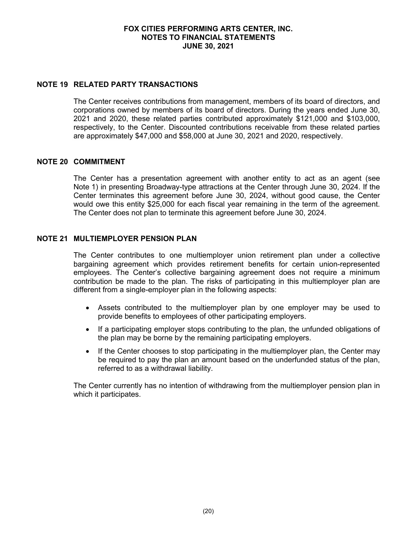#### **NOTE 19 RELATED PARTY TRANSACTIONS**

The Center receives contributions from management, members of its board of directors, and corporations owned by members of its board of directors. During the years ended June 30, 2021 and 2020, these related parties contributed approximately \$121,000 and \$103,000, respectively, to the Center. Discounted contributions receivable from these related parties are approximately \$47,000 and \$58,000 at June 30, 2021 and 2020, respectively.

## **NOTE 20 COMMITMENT**

The Center has a presentation agreement with another entity to act as an agent (see Note 1) in presenting Broadway-type attractions at the Center through June 30, 2024. If the Center terminates this agreement before June 30, 2024, without good cause, the Center would owe this entity \$25,000 for each fiscal year remaining in the term of the agreement. The Center does not plan to terminate this agreement before June 30, 2024.

### **NOTE 21 MULTIEMPLOYER PENSION PLAN**

The Center contributes to one multiemployer union retirement plan under a collective bargaining agreement which provides retirement benefits for certain union-represented employees. The Center's collective bargaining agreement does not require a minimum contribution be made to the plan. The risks of participating in this multiemployer plan are different from a single-employer plan in the following aspects:

- Assets contributed to the multiemployer plan by one employer may be used to provide benefits to employees of other participating employers.
- If a participating employer stops contributing to the plan, the unfunded obligations of the plan may be borne by the remaining participating employers.
- If the Center chooses to stop participating in the multiemployer plan, the Center may be required to pay the plan an amount based on the underfunded status of the plan, referred to as a withdrawal liability.

The Center currently has no intention of withdrawing from the multiemployer pension plan in which it participates.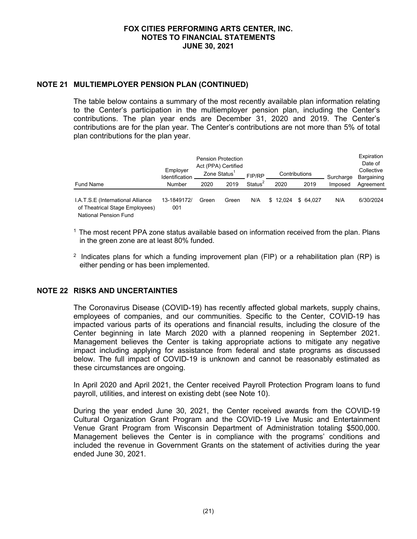### **NOTE 21 MULTIEMPLOYER PENSION PLAN (CONTINUED)**

The table below contains a summary of the most recently available plan information relating to the Center's participation in the multiemployer pension plan, including the Center's contributions. The plan year ends are December 31, 2020 and 2019. The Center's contributions are for the plan year. The Center's contributions are not more than 5% of total plan contributions for the plan year.

|                                                                                              | Employer<br>Identification | <b>Pension Protection</b><br>Act (PPA) Certified<br>Zone Status <sup>1</sup><br>Contributions<br>FIP/RP |       |                     |          | Surcharge | Expiration<br>Date of<br>Collective<br>Bargaining |           |
|----------------------------------------------------------------------------------------------|----------------------------|---------------------------------------------------------------------------------------------------------|-------|---------------------|----------|-----------|---------------------------------------------------|-----------|
| <b>Fund Name</b>                                                                             | Number                     | 2020                                                                                                    | 2019  | Status <sup>2</sup> | 2020     | 2019      | Imposed                                           | Agreement |
| I.A.T.S.E (International Alliance<br>of Theatrical Stage Employees)<br>National Pension Fund | 13-1849172/<br>001         | Green                                                                                                   | Green | N/A                 | \$12.024 | \$64.027  | N/A                                               | 6/30/2024 |

 $<sup>1</sup>$  The most recent PPA zone status available based on information received from the plan. Plans</sup> in the green zone are at least 80% funded.

<sup>2</sup> Indicates plans for which a funding improvement plan (FIP) or a rehabilitation plan (RP) is either pending or has been implemented.

#### **NOTE 22 RISKS AND UNCERTAINTIES**

The Coronavirus Disease (COVID-19) has recently affected global markets, supply chains, employees of companies, and our communities. Specific to the Center, COVID-19 has impacted various parts of its operations and financial results, including the closure of the Center beginning in late March 2020 with a planned reopening in September 2021. Management believes the Center is taking appropriate actions to mitigate any negative impact including applying for assistance from federal and state programs as discussed below. The full impact of COVID-19 is unknown and cannot be reasonably estimated as these circumstances are ongoing.

In April 2020 and April 2021, the Center received Payroll Protection Program loans to fund payroll, utilities, and interest on existing debt (see Note 10).

During the year ended June 30, 2021, the Center received awards from the COVID-19 Cultural Organization Grant Program and the COVID-19 Live Music and Entertainment Venue Grant Program from Wisconsin Department of Administration totaling \$500,000. Management believes the Center is in compliance with the programs' conditions and included the revenue in Government Grants on the statement of activities during the year ended June 30, 2021.